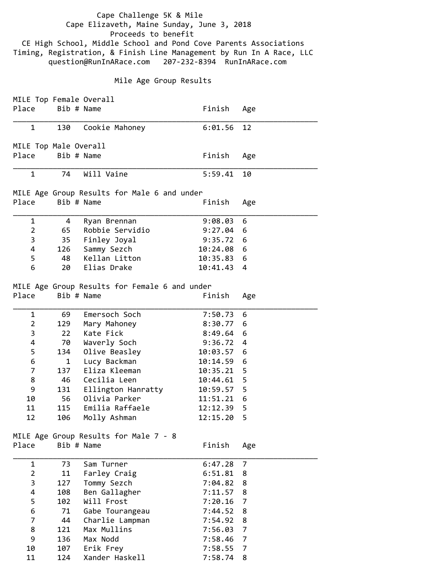Cape Challenge 5K & Mile Cape Elizaveth, Maine Sunday, June 3, 2018 Proceeds to benefit CE High School, Middle School and Pond Cove Parents Associations Timing, Registration, & Finish Line Management by Run In A Race, LLC question@RunInARace.com 207‐232‐8394 RunInARace.com Mile Age Group Results MILE Top Female Overall Place Bib # Name Finish Age \_\_\_\_\_\_\_\_\_\_\_\_\_\_\_\_\_\_\_\_\_\_\_\_\_\_\_\_\_\_\_\_\_\_\_\_\_\_\_\_\_\_\_\_\_\_\_\_\_\_\_\_\_\_\_\_\_\_\_\_\_\_\_\_\_\_\_\_\_ 1 130 Cookie Mahoney 6:01.56 12 MILE Top Male Overall Place Bib # Name The Place Bib # Name Place Bib # Name Place Bib # Name Place Bib # Name Place Bib # Name Place \_\_\_\_\_\_\_\_\_\_\_\_\_\_\_\_\_\_\_\_\_\_\_\_\_\_\_\_\_\_\_\_\_\_\_\_\_\_\_\_\_\_\_\_\_\_\_\_\_\_\_\_\_\_\_\_\_\_\_\_\_\_\_\_\_\_\_\_\_ 1 74 Will Vaine 5:59.41 10 MILE Age Group Results for Male 6 and under Place Bib # Name The Place Bib # Name Place Bib # Name Place Bib # Name Place Bib # Name Place Bib # Name Place \_\_\_\_\_\_\_\_\_\_\_\_\_\_\_\_\_\_\_\_\_\_\_\_\_\_\_\_\_\_\_\_\_\_\_\_\_\_\_\_\_\_\_\_\_\_\_\_\_\_\_\_\_\_\_\_\_\_\_\_\_\_\_\_\_\_\_\_\_ 1 4 Ryan Brennan 9:08.03 6 2 65 Robbie Servidio 9:27.04 6 3 35 Finley Joyal 9:35.72 6 4 126 Sammy Sezch 10:24.08 6 5 48 Kellan Litton 10:35.83 6 6 20 Elias Drake 10:41.43 4 MILE Age Group Results for Female 6 and under Place Bib # Name The Place Bib # Name Place Bib # Name Place Bib # Name Place Bib # Name Place Bib # Name Place \_\_\_\_\_\_\_\_\_\_\_\_\_\_\_\_\_\_\_\_\_\_\_\_\_\_\_\_\_\_\_\_\_\_\_\_\_\_\_\_\_\_\_\_\_\_\_\_\_\_\_\_\_\_\_\_\_\_\_\_\_\_\_\_\_\_\_\_\_ 1 69 Emersoch Soch 7:50.73 6 2 129 Mary Mahoney 8:30.77 6 3 22 Kate Fick 8:49.64 6 4 70 Waverly Soch 9:36.72 4 5 134 Olive Beasley 10:03.57 6 6 1 Lucy Backman 10:14.59 6 7 137 Eliza Kleeman 10:35.21 5 8 46 Cecilia Leen 10:44.61 5 9 131 Ellington Hanratty 10:59.57 5 10 56 Olivia Parker 11:51.21 6 11 115 Emilia Raffaele 12:12.39 5 12 106 Molly Ashman 12:15.20 5 MILE Age Group Results for Male 7 ‐ 8 Place Bib # Name The Place Bib # Name \_\_\_\_\_\_\_\_\_\_\_\_\_\_\_\_\_\_\_\_\_\_\_\_\_\_\_\_\_\_\_\_\_\_\_\_\_\_\_\_\_\_\_\_\_\_\_\_\_\_\_\_\_\_\_\_\_\_\_\_\_\_\_\_\_\_\_\_\_ 1 73 Sam Turner 6:47.28 7 2 11 Farley Craig 6:51.81 8 3 127 Tommy Sezch 7:04.82 8 4 108 Ben Gallagher 7:11.57 8 5 102 Will Frost 7:20.16 7

 6 71 Gabe Tourangeau 7:44.52 8 7 44 Charlie Lampman 7:54.92 8 8 121 Max Mullins 7:56.03 7 9 136 Max Nodd 7:58.46 7 10 107 Erik Frey 7:58.55 7 11 124 Xander Haskell 7:58.74 8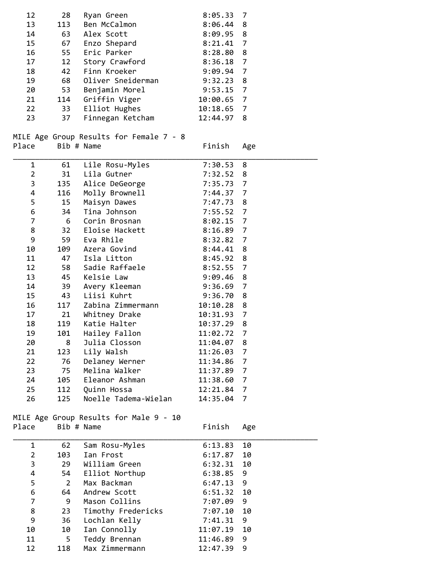| 12             | 28             | Ryan Green                              | 8:05.33     | 7              |
|----------------|----------------|-----------------------------------------|-------------|----------------|
| 13             | 113            | Ben McCalmon                            | 8:06.44     | 8              |
| 14             | 63             | Alex Scott                              | 8:09.95     | 8              |
| 15             | 67             | Enzo Shepard                            | 8:21.41     | $\overline{7}$ |
| 16             | 55             | Eric Parker                             | 8:28.80     | 8              |
| 17             | 12             | Story Crawford                          | 8:36.18     | $\overline{7}$ |
| 18             | 42             | Finn Kroeker                            | 9:09.94     | $\overline{7}$ |
| 19             | 68             | Oliver Sneiderman                       | 9:32.23     | 8              |
| 20             | 53             | Benjamin Morel                          | $9:53.15$ 7 |                |
| 21             | 114            | Griffin Viger                           | 10:00.65 7  |                |
| 22             | 33             |                                         |             |                |
|                |                | Elliot Hughes                           | 10:18.65 7  |                |
| 23             | 37             | Finnegan Ketcham                        | 12:44.97    | 8              |
|                |                |                                         |             |                |
|                |                | MILE Age Group Results for Female 7 - 8 |             |                |
| Place          | Bib # Name     |                                         | Finish      | Age            |
| 1              | 61             | Lile Rosu-Myles                         | 7:30.53     | 8              |
|                |                |                                         |             |                |
| $\overline{2}$ | 31             | Lila Gutner                             | 7:32.52     | 8              |
| 3              | 135            | Alice DeGeorge                          | 7:35.73     | 7              |
| 4              | 116            | Molly Brownell                          | 7:44.37     | $\overline{7}$ |
| 5              | 15             | Maisyn Dawes                            | 7:47.73     | 8              |
| 6              | 34             | Tina Johnson                            | 7:55.52     | $\overline{7}$ |
| 7              | - 6            | Corin Brosnan                           | $8:02.15$ 7 |                |
| 8              | 32             | Eloise Hackett                          | 8:16.89 7   |                |
| 9              | 59             | Eva Rhile                               | 8:32.82 7   |                |
| 10             | 109            | Azera Govind                            | 8:44.41     | 8              |
| 11             | 47             | Isla Litton                             | 8:45.92     | 8              |
| 12             | 58             | Sadie Raffaele                          | 8:52.55     | 7              |
| 13             | 45             | Kelsie Law                              | 9:09.46     | 8              |
| 14             | 39             | Avery Kleeman                           | 9:36.69     | $\overline{7}$ |
|                | 43             | Liisi Kuhrt                             | 9:36.70     | 8              |
| 15             |                |                                         |             |                |
| 16             | 117            | Zabina Zimmermann                       | 10:10.28    | 8              |
| 17             | 21             | Whitney Drake                           | 10:31.93    | $\overline{7}$ |
| 18             | 119            | Katie Halter                            | 10:37.29    | 8              |
| 19             | 101            | Hailey Fallon                           | 11:02.72    | 7              |
| 20             | 8              | Julia Closson                           | 11:04.07    | 8              |
| 21             | 123            | Lily Walsh                              | 11:26.03    | $\overline{7}$ |
| 22             | 76             | Delaney Werner                          | 11:34.86    | $\overline{7}$ |
| 23             | 75             | Melina Walker                           | 11:37.89    | 7              |
| 24             | 105            | Eleanor Ashman                          | 11:38.60    | 7              |
| 25             | 112            | Quinn Hossa                             | 12:21.84    | 7              |
| 26             | 125            | Noelle Tadema-Wielan                    | 14:35.04    | 7              |
|                |                |                                         |             |                |
|                |                | MILE Age Group Results for Male 9 - 10  |             |                |
| Place          | Bib # Name     |                                         | Finish      | Age            |
|                |                |                                         |             |                |
| 1              | 62             | Sam Rosu-Myles                          | 6:13.83     | 10             |
| $\overline{2}$ | 103            | Ian Frost                               | 6:17.87     | 10             |
| 3              | 29             | William Green                           | 6:32.31     | 10             |
| 4              | 54             | Elliot Northup                          | 6:38.85     | 9              |
| 5              | $\overline{2}$ | Max Backman                             | 6:47.13     | 9              |
| 6              | 64             | Andrew Scott                            | 6:51.32     | 10             |
| 7              | 9              | Mason Collins                           | 7:07.09     | 9              |
| 8              | 23             | Timothy Fredericks                      | 7:07.10     | 10             |
| 9              | 36             | Lochlan Kelly                           | 7:41.31     | 9              |
| 10             | 10             | Ian Connolly                            | 11:07.19    | 10             |
| 11             | 5              |                                         |             | 9              |
|                |                | Teddy Brennan                           | 11:46.89    |                |
| 12             | 118            | Max Zimmermann                          | 12:47.39    | 9              |